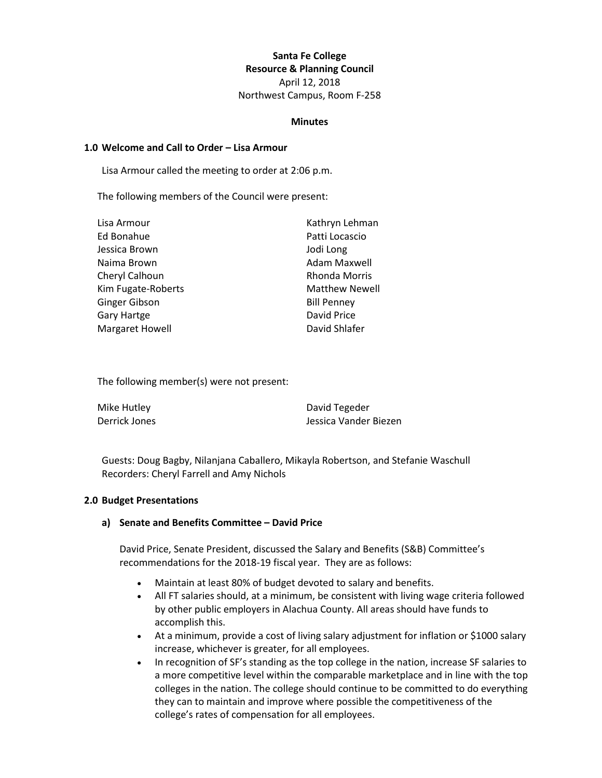## **Santa Fe College Resource & Planning Council**

April 12, 2018 Northwest Campus, Room F-258

#### **Minutes**

#### **1.0 Welcome and Call to Order – Lisa Armour**

Lisa Armour called the meeting to order at 2:06 p.m.

The following members of the Council were present:

| Lisa Armour            | Kathryn Lehman        |
|------------------------|-----------------------|
| Ed Bonahue             | Patti Locascio        |
| Jessica Brown          | Jodi Long             |
| Naima Brown            | Adam Maxwell          |
| Cheryl Calhoun         | <b>Rhonda Morris</b>  |
| Kim Fugate-Roberts     | <b>Matthew Newell</b> |
| Ginger Gibson          | <b>Bill Penney</b>    |
| <b>Gary Hartge</b>     | David Price           |
| <b>Margaret Howell</b> | David Shlafer         |

The following member(s) were not present:

| Mike Hutley   | David Tegeder         |
|---------------|-----------------------|
| Derrick Jones | Jessica Vander Biezen |

Guests: Doug Bagby, Nilanjana Caballero, Mikayla Robertson, and Stefanie Waschull Recorders: Cheryl Farrell and Amy Nichols

#### **2.0 Budget Presentations**

#### **a) Senate and Benefits Committee – David Price**

David Price, Senate President, discussed the Salary and Benefits (S&B) Committee's recommendations for the 2018-19 fiscal year. They are as follows:

- Maintain at least 80% of budget devoted to salary and benefits.
- All FT salaries should, at a minimum, be consistent with living wage criteria followed by other public employers in Alachua County. All areas should have funds to accomplish this.
- At a minimum, provide a cost of living salary adjustment for inflation or \$1000 salary increase, whichever is greater, for all employees.
- In recognition of SF's standing as the top college in the nation, increase SF salaries to a more competitive level within the comparable marketplace and in line with the top colleges in the nation. The college should continue to be committed to do everything they can to maintain and improve where possible the competitiveness of the college's rates of compensation for all employees.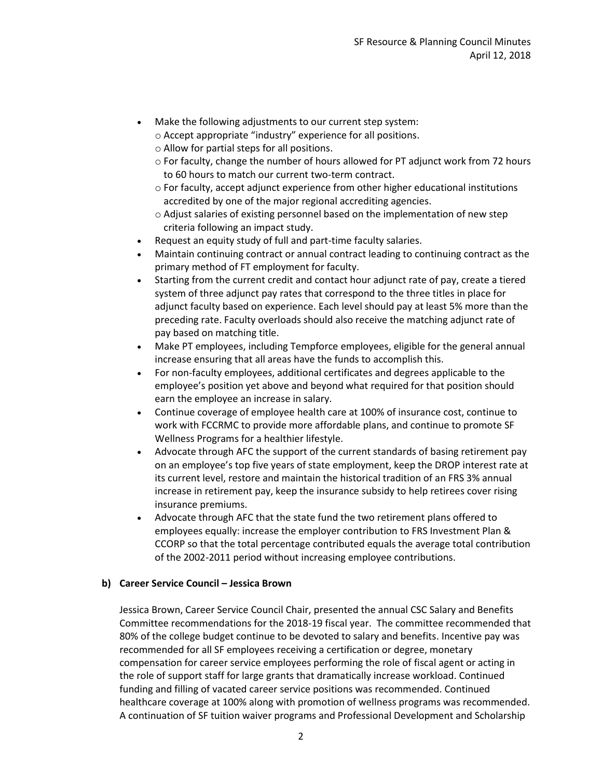- Make the following adjustments to our current step system:
	- o Accept appropriate "industry" experience for all positions.
	- o Allow for partial steps for all positions.
	- o For faculty, change the number of hours allowed for PT adjunct work from 72 hours to 60 hours to match our current two-term contract.
	- o For faculty, accept adjunct experience from other higher educational institutions accredited by one of the major regional accrediting agencies.
	- o Adjust salaries of existing personnel based on the implementation of new step criteria following an impact study.
- Request an equity study of full and part-time faculty salaries.
- Maintain continuing contract or annual contract leading to continuing contract as the primary method of FT employment for faculty.
- Starting from the current credit and contact hour adjunct rate of pay, create a tiered system of three adjunct pay rates that correspond to the three titles in place for adjunct faculty based on experience. Each level should pay at least 5% more than the preceding rate. Faculty overloads should also receive the matching adjunct rate of pay based on matching title.
- Make PT employees, including Tempforce employees, eligible for the general annual increase ensuring that all areas have the funds to accomplish this.
- For non-faculty employees, additional certificates and degrees applicable to the employee's position yet above and beyond what required for that position should earn the employee an increase in salary.
- Continue coverage of employee health care at 100% of insurance cost, continue to work with FCCRMC to provide more affordable plans, and continue to promote SF Wellness Programs for a healthier lifestyle.
- Advocate through AFC the support of the current standards of basing retirement pay on an employee's top five years of state employment, keep the DROP interest rate at its current level, restore and maintain the historical tradition of an FRS 3% annual increase in retirement pay, keep the insurance subsidy to help retirees cover rising insurance premiums.
- Advocate through AFC that the state fund the two retirement plans offered to employees equally: increase the employer contribution to FRS Investment Plan & CCORP so that the total percentage contributed equals the average total contribution of the 2002-2011 period without increasing employee contributions.

## **b) Career Service Council – Jessica Brown**

Jessica Brown, Career Service Council Chair, presented the annual CSC Salary and Benefits Committee recommendations for the 2018-19 fiscal year. The committee recommended that 80% of the college budget continue to be devoted to salary and benefits. Incentive pay was recommended for all SF employees receiving a certification or degree, monetary compensation for career service employees performing the role of fiscal agent or acting in the role of support staff for large grants that dramatically increase workload. Continued funding and filling of vacated career service positions was recommended. Continued healthcare coverage at 100% along with promotion of wellness programs was recommended. A continuation of SF tuition waiver programs and Professional Development and Scholarship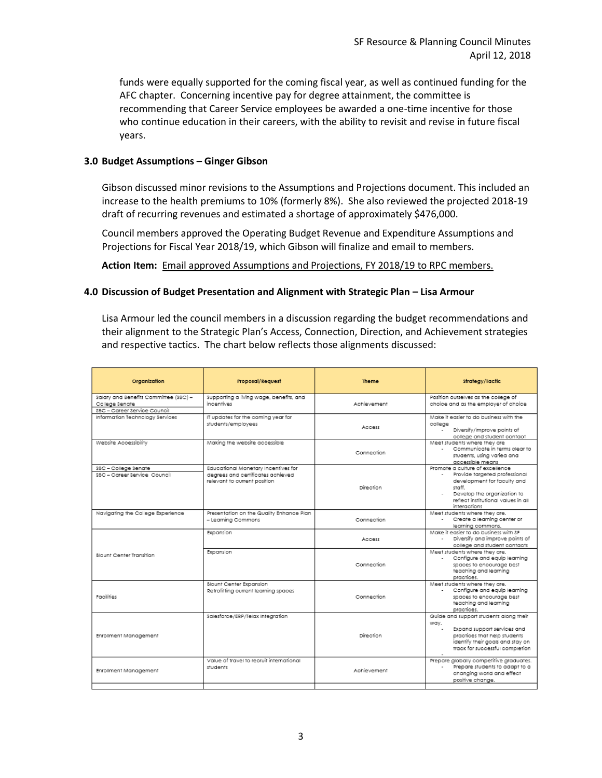funds were equally supported for the coming fiscal year, as well as continued funding for the AFC chapter. Concerning incentive pay for degree attainment, the committee is recommending that Career Service employees be awarded a one-time incentive for those who continue education in their careers, with the ability to revisit and revise in future fiscal years.

## **3.0 Budget Assumptions – Ginger Gibson**

Gibson discussed minor revisions to the Assumptions and Projections document. This included an increase to the health premiums to 10% (formerly 8%). She also reviewed the projected 2018-19 draft of recurring revenues and estimated a shortage of approximately \$476,000.

Council members approved the Operating Budget Revenue and Expenditure Assumptions and Projections for Fiscal Year 2018/19, which Gibson will finalize and email to members.

**Action Item:** Email approved Assumptions and Projections, FY 2018/19 to RPC members.

### **4.0 Discussion of Budget Presentation and Alignment with Strategic Plan – Lisa Armour**

Lisa Armour led the council members in a discussion regarding the budget recommendations and their alignment to the Strategic Plan's Access, Connection, Direction, and Achievement strategies and respective tactics. The chart below reflects those alignments discussed:

| Organization                                         | Proposal/Request                                                                                         | Theme       | Strategy/Tactic                                                                                                                                                                      |
|------------------------------------------------------|----------------------------------------------------------------------------------------------------------|-------------|--------------------------------------------------------------------------------------------------------------------------------------------------------------------------------------|
| Salary and Benefits Committee (SBC) -                | Supporting a living wage, benefits, and                                                                  |             | Position ourselves as the college of                                                                                                                                                 |
| College Senate<br>SBC - Career Service Council       | incentives                                                                                               | Achievement | choice and as the employer of choice                                                                                                                                                 |
| Information Technology Services                      | IT updates for the coming year for<br>students/employees                                                 | Access      | Make it easier to do business with the<br>college<br>Diversify/improve points of<br>college and student contact                                                                      |
| Website Accessibility                                | Making the website accessible                                                                            | Connection  | Meet students where they are<br>Communicate in terms clear to<br>students, using varied and<br>accessible means                                                                      |
| SBC - College Senate<br>SBC - Career Service Council | Educational Monetary Incentives for<br>degrees and certificates achieved<br>relevant to current position |             | Promote a culture of excellence<br>Provide targeted professional<br>development for faculty and                                                                                      |
|                                                      |                                                                                                          | Direction   | staff.<br>Develop the organization to<br>reflect institutional values in all<br>interactions                                                                                         |
| Navigating the College Experience                    | Presentation on the Quality Enhance Plan<br>- Learning Commons                                           | Connection  | Meet students where they are.<br>Create a learning center or<br>learning commons.                                                                                                    |
|                                                      | Expansion                                                                                                | Access      | Make it easier to do business with SF<br>Diversify and improve points of<br>college and student contacts                                                                             |
| <b>Blount Center Transition</b>                      | Expansion                                                                                                | Connection  | Meet students where they are.<br>Configure and equip learning<br>spaces to encourage best<br>teaching and learning<br>practices.                                                     |
| Facilities                                           | Blount Center Expansion<br>Retrofitting current learning spaces                                          | Connection  | Meet students where they are.<br>Configure and equip learning<br>spaces to encourage best<br>teaching and learning<br>practices.                                                     |
| Enrollment Management                                | Salesforce/ERP/Telax Integration                                                                         | Direction   | Guide and support students along their<br>way.<br>Expand support services and<br>practices that help students<br>identify their goals and stay on<br>track for successful completion |
| Enrollment Management                                | Value of travel to recruit international<br>students                                                     | Achievement | Prepare alobally competitive araduates.<br>Prepare students to adapt to a<br>changing world and effect<br>positive change.                                                           |
|                                                      |                                                                                                          |             |                                                                                                                                                                                      |